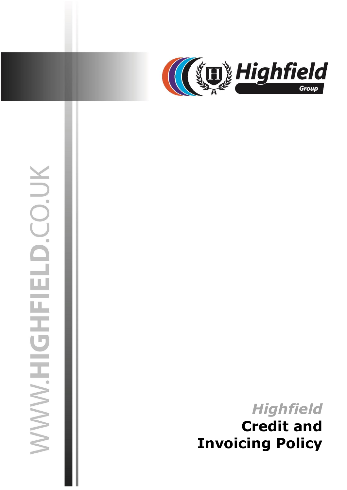

# WWW.HIGHFIELD.CO.UK

# **Highfield Credit and Invoicing Policy**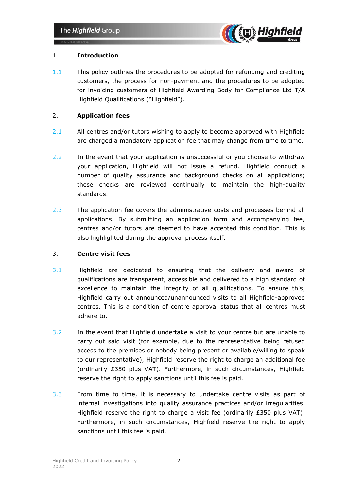

# 1. **Introduction**

1.1 This policy outlines the procedures to be adopted for refunding and crediting customers, the process for non-payment and the procedures to be adopted for invoicing customers of Highfield Awarding Body for Compliance Ltd T/A Highfield Qualifications ("Highfield").

# 2. **Application fees**

- 2.1 All centres and/or tutors wishing to apply to become approved with Highfield are charged a mandatory application fee that may change from time to time.
- 2.2 In the event that your application is unsuccessful or you choose to withdraw your application, Highfield will not issue a refund. Highfield conduct a number of quality assurance and background checks on all applications; these checks are reviewed continually to maintain the high-quality standards.
- 2.3 The application fee covers the administrative costs and processes behind all applications. By submitting an application form and accompanying fee, centres and/or tutors are deemed to have accepted this condition. This is also highlighted during the approval process itself.

# 3. **Centre visit fees**

- 3.1 Highfield are dedicated to ensuring that the delivery and award of qualifications are transparent, accessible and delivered to a high standard of excellence to maintain the integrity of all qualifications. To ensure this, Highfield carry out announced/unannounced visits to all Highfield-approved centres. This is a condition of centre approval status that all centres must adhere to.
- 3.2 In the event that Highfield undertake a visit to your centre but are unable to carry out said visit (for example, due to the representative being refused access to the premises or nobody being present or available/willing to speak to our representative), Highfield reserve the right to charge an additional fee (ordinarily £350 plus VAT). Furthermore, in such circumstances, Highfield reserve the right to apply sanctions until this fee is paid.
- 3.3 From time to time, it is necessary to undertake centre visits as part of internal investigations into quality assurance practices and/or irregularities. Highfield reserve the right to charge a visit fee (ordinarily  $£350$  plus VAT). Furthermore, in such circumstances, Highfield reserve the right to apply sanctions until this fee is paid.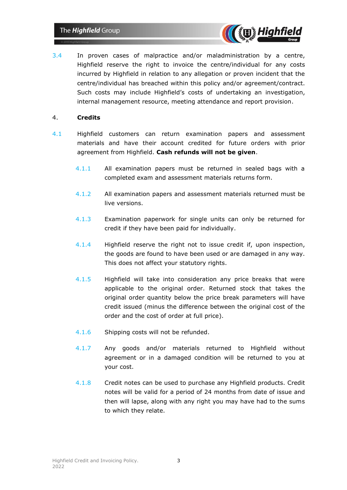

3.4 In proven cases of malpractice and/or maladministration by a centre, Highfield reserve the right to invoice the centre/individual for any costs incurred by Highfield in relation to any allegation or proven incident that the centre/individual has breached within this policy and/or agreement/contract. Such costs may include Highfield's costs of undertaking an investigation, internal management resource, meeting attendance and report provision.

## 4. **Credits**

- 4.1 Highfield customers can return examination papers and assessment materials and have their account credited for future orders with prior agreement from Highfield. **Cash refunds will not be given**.
	- 4.1.1 All examination papers must be returned in sealed bags with a completed exam and assessment materials returns form.
	- 4.1.2 All examination papers and assessment materials returned must be live versions.
	- 4.1.3 Examination paperwork for single units can only be returned for credit if they have been paid for individually.
	- 4.1.4 Highfield reserve the right not to issue credit if, upon inspection, the goods are found to have been used or are damaged in any way. This does not affect your statutory rights.
	- 4.1.5 Highfield will take into consideration any price breaks that were applicable to the original order. Returned stock that takes the original order quantity below the price break parameters will have credit issued (minus the difference between the original cost of the order and the cost of order at full price).
	- 4.1.6 Shipping costs will not be refunded.
	- 4.1.7 Any goods and/or materials returned to Highfield without agreement or in a damaged condition will be returned to you at your cost.
	- 4.1.8 Credit notes can be used to purchase any Highfield products. Credit notes will be valid for a period of 24 months from date of issue and then will lapse, along with any right you may have had to the sums to which they relate.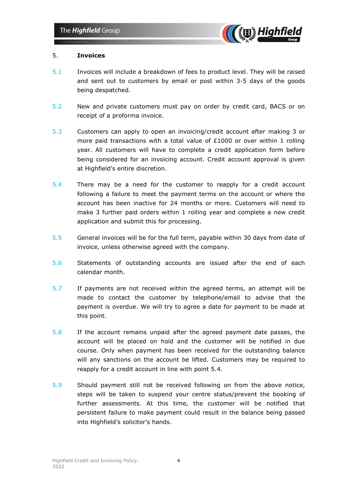

### 5. **Invoices**

- 5.1 Invoices will include a breakdown of fees to product level. They will be raised and sent out to customers by email or post within 3-5 days of the goods being despatched.
- 5.2 New and private customers must pay on order by credit card, BACS or on receipt of a proforma invoice.
- 5.3 Customers can apply to open an invoicing/credit account after making 3 or more paid transactions with a total value of  $£1000$  or over within 1 rolling year. All customers will have to complete a credit application form before being considered for an invoicing account. Credit account approval is given at Highfield's entire discretion.
- 5.4 There may be a need for the customer to reapply for a credit account following a failure to meet the payment terms on the account or where the account has been inactive for 24 months or more. Customers will need to make 3 further paid orders within 1 rolling year and complete a new credit application and submit this for processing.
- 5.5 General invoices will be for the full term, payable within 30 days from date of invoice, unless otherwise agreed with the company.
- 5.6 Statements of outstanding accounts are issued after the end of each calendar month.
- 5.7 If payments are not received within the agreed terms, an attempt will be made to contact the customer by telephone/email to advise that the payment is overdue. We will try to agree a date for payment to be made at this point.
- 5.8 If the account remains unpaid after the agreed payment date passes, the account will be placed on hold and the customer will be notified in due course. Only when payment has been received for the outstanding balance will any sanctions on the account be lifted. Customers may be required to reapply for a credit account in line with point 5.4.
- 5.9 Should payment still not be received following on from the above notice, steps will be taken to suspend your centre status/prevent the booking of further assessments. At this time, the customer will be notified that persistent failure to make payment could result in the balance being passed into Highfield's solicitor's hands.